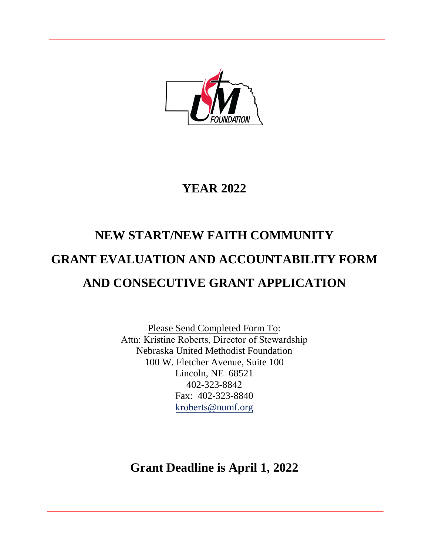

## **YEAR 2022**

# **NEW START/NEW FAITH COMMUNITY GRANT EVALUATION AND ACCOUNTABILITY FORM AND CONSECUTIVE GRANT APPLICATION**

Please Send Completed Form To: Attn: Kristine Roberts, Director of Stewardship Nebraska United Methodist Foundation 100 W. Fletcher Avenue, Suite 100 Lincoln, NE 68521 402-323-8842 Fax: 402-323-8840 kroberts@numf.org

**Grant Deadline is April 1, 2022**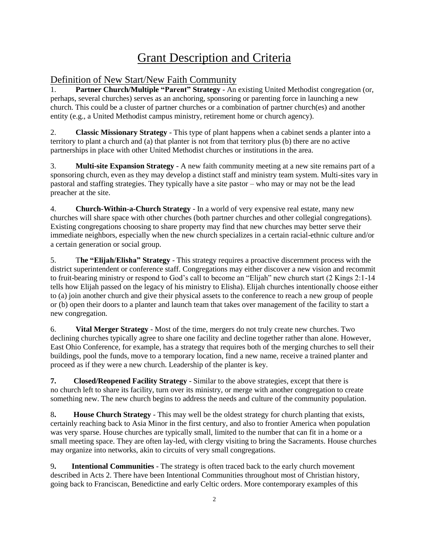## Grant Description and Criteria

#### Definition of New Start/New Faith Community

1. **Partner Church/Multiple "Parent" Strategy** - An existing United Methodist congregation (or, perhaps, several churches) serves as an anchoring, sponsoring or parenting force in launching a new church. This could be a cluster of partner churches or a combination of partner church(es) and another entity (e.g., a United Methodist campus ministry, retirement home or church agency).

2. **Classic Missionary Strategy** - This type of plant happens when a cabinet sends a planter into a territory to plant a church and (a) that planter is not from that territory plus (b) there are no active partnerships in place with other United Methodist churches or institutions in the area.

3. **Multi-site Expansion Strategy** - A new faith community meeting at a new site remains part of a sponsoring church, even as they may develop a distinct staff and ministry team system. Multi-sites vary in pastoral and staffing strategies. They typically have a site pastor – who may or may not be the lead preacher at the site.

4. **Church-Within-a-Church Strategy** - In a world of very expensive real estate, many new churches will share space with other churches (both partner churches and other collegial congregations). Existing congregations choosing to share property may find that new churches may better serve their immediate neighbors, especially when the new church specializes in a certain racial-ethnic culture and/or a certain generation or social group.

5. T**he "Elijah/Elisha" Strategy** - This strategy requires a proactive discernment process with the district superintendent or conference staff. Congregations may either discover a new vision and recommit to fruit-bearing ministry or respond to God's call to become an "Elijah" new church start (2 Kings 2:1-14 tells how Elijah passed on the legacy of his ministry to Elisha). Elijah churches intentionally choose either to (a) join another church and give their physical assets to the conference to reach a new group of people or (b) open their doors to a planter and launch team that takes over management of the facility to start a new congregation.

6. **Vital Merger Strategy** - Most of the time, mergers do not truly create new churches. Two declining churches typically agree to share one facility and decline together rather than alone. However, East Ohio Conference, for example, has a strategy that requires both of the merging churches to sell their buildings, pool the funds, move to a temporary location, find a new name, receive a trained planter and proceed as if they were a new church. Leadership of the planter is key.

**7. Closed/Reopened Facility Strategy** - Similar to the above strategies, except that there is no church left to share its facility, turn over its ministry, or merge with another congregation to create something new. The new church begins to address the needs and culture of the community population.

8**. House Church Strategy** - This may well be the oldest strategy for church planting that exists, certainly reaching back to Asia Minor in the first century, and also to frontier America when population was very sparse. House churches are typically small, limited to the number that can fit in a home or a small meeting space. They are often lay-led, with clergy visiting to bring the Sacraments. House churches may organize into networks, akin to circuits of very small congregations.

9**. Intentional Communities** - The strategy is often traced back to the early church movement described in Acts 2. There have been Intentional Communities throughout most of Christian history, going back to Franciscan, Benedictine and early Celtic orders. More contemporary examples of this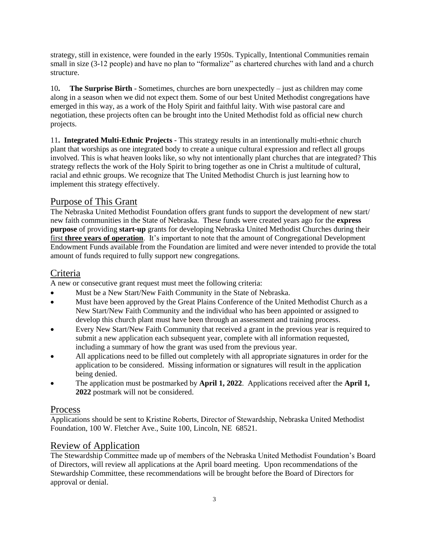strategy, still in existence, were founded in the early 1950s. Typically, Intentional Communities remain small in size (3-12 people) and have no plan to "formalize" as chartered churches with land and a church structure.

10**. The Surprise Birth** - Sometimes, churches are born unexpectedly – just as children may come along in a season when we did not expect them. Some of our best United Methodist congregations have emerged in this way, as a work of the Holy Spirit and faithful laity. With wise pastoral care and negotiation, these projects often can be brought into the United Methodist fold as official new church projects.

11**. Integrated Multi-Ethnic Projects** - This strategy results in an intentionally multi-ethnic church plant that worships as one integrated body to create a unique cultural expression and reflect all groups involved. This is what heaven looks like, so why not intentionally plant churches that are integrated? This strategy reflects the work of the Holy Spirit to bring together as one in Christ a multitude of cultural, racial and ethnic groups. We recognize that The United Methodist Church is just learning how to implement this strategy effectively.

#### Purpose of This Grant

The Nebraska United Methodist Foundation offers grant funds to support the development of new start/ new faith communities in the State of Nebraska. These funds were created years ago for the **express purpose** of providing **start-up** grants for developing Nebraska United Methodist Churches during their first **three years of operation**. It's important to note that the amount of Congregational Development Endowment Funds available from the Foundation are limited and were never intended to provide the total amount of funds required to fully support new congregations.

#### Criteria

A new or consecutive grant request must meet the following criteria:

- Must be a New Start/New Faith Community in the State of Nebraska.
- Must have been approved by the Great Plains Conference of the United Methodist Church as a New Start/New Faith Community and the individual who has been appointed or assigned to develop this church plant must have been through an assessment and training process.
- Every New Start/New Faith Community that received a grant in the previous year is required to submit a new application each subsequent year, complete with all information requested, including a summary of how the grant was used from the previous year.
- All applications need to be filled out completely with all appropriate signatures in order for the application to be considered. Missing information or signatures will result in the application being denied.
- The application must be postmarked by **April 1, 2022**. Applications received after the **April 1, 2022** postmark will not be considered.

#### Process

Applications should be sent to Kristine Roberts, Director of Stewardship, Nebraska United Methodist Foundation, 100 W. Fletcher Ave., Suite 100, Lincoln, NE 68521.

#### Review of Application

The Stewardship Committee made up of members of the Nebraska United Methodist Foundation's Board of Directors, will review all applications at the April board meeting. Upon recommendations of the Stewardship Committee, these recommendations will be brought before the Board of Directors for approval or denial.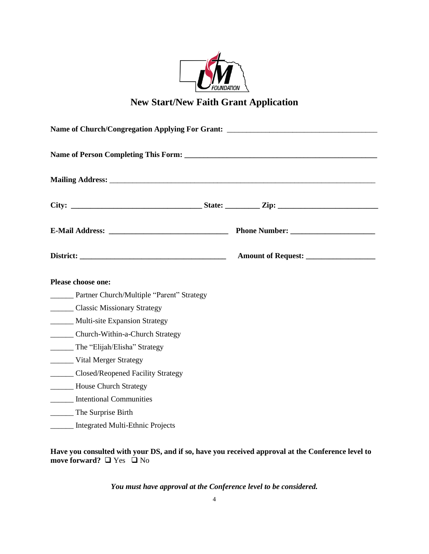

### **New Start/New Faith Grant Application**

| <b>Please choose one:</b>                          |  |  |  |  |  |  |  |  |  |  |
|----------------------------------------------------|--|--|--|--|--|--|--|--|--|--|
| ________ Partner Church/Multiple "Parent" Strategy |  |  |  |  |  |  |  |  |  |  |
| Classic Missionary Strategy                        |  |  |  |  |  |  |  |  |  |  |
| _______ Multi-site Expansion Strategy              |  |  |  |  |  |  |  |  |  |  |
| _________ Church-Within-a-Church Strategy          |  |  |  |  |  |  |  |  |  |  |
| _______ The "Elijah/Elisha" Strategy               |  |  |  |  |  |  |  |  |  |  |
| Vital Merger Strategy                              |  |  |  |  |  |  |  |  |  |  |
| ________ Closed/Reopened Facility Strategy         |  |  |  |  |  |  |  |  |  |  |
| <b>_________ House Church Strategy</b>             |  |  |  |  |  |  |  |  |  |  |
| <b>Intentional Communities</b>                     |  |  |  |  |  |  |  |  |  |  |
| _________ The Surprise Birth                       |  |  |  |  |  |  |  |  |  |  |
| ______ Integrated Multi-Ethnic Projects            |  |  |  |  |  |  |  |  |  |  |

**Have you consulted with your DS, and if so, have you received approval at the Conference level to move forward?** □ Yes □ No

*You must have approval at the Conference level to be considered.*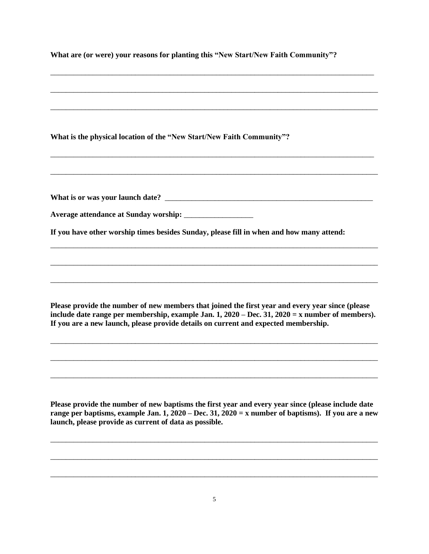| What are (or were) your reasons for planting this "New Start/New Faith Community"?                                                                                                                                                                                                             |
|------------------------------------------------------------------------------------------------------------------------------------------------------------------------------------------------------------------------------------------------------------------------------------------------|
| What is the physical location of the "New Start/New Faith Community"?                                                                                                                                                                                                                          |
| If you have other worship times besides Sunday, please fill in when and how many attend:                                                                                                                                                                                                       |
|                                                                                                                                                                                                                                                                                                |
| Please provide the number of new members that joined the first year and every year since (please<br>include date range per membership, example Jan. 1, $2020 - Dec.$ 31, $2020 = x$ number of members).<br>If you are a new launch, please provide details on current and expected membership. |
|                                                                                                                                                                                                                                                                                                |
| Please provide the number of new baptisms the first year and every year since (please include date<br>range per baptisms, example Jan. 1, 2020 – Dec. 31, 2020 = x number of baptisms). If you are a new<br>launch, please provide as current of data as possible.                             |
|                                                                                                                                                                                                                                                                                                |

\_\_\_\_\_\_\_\_\_\_\_\_\_\_\_\_\_\_\_\_\_\_\_\_\_\_\_\_\_\_\_\_\_\_\_\_\_\_\_\_\_\_\_\_\_\_\_\_\_\_\_\_\_\_\_\_\_\_\_\_\_\_\_\_\_\_\_\_\_\_\_\_\_\_\_\_\_\_\_\_\_\_\_\_\_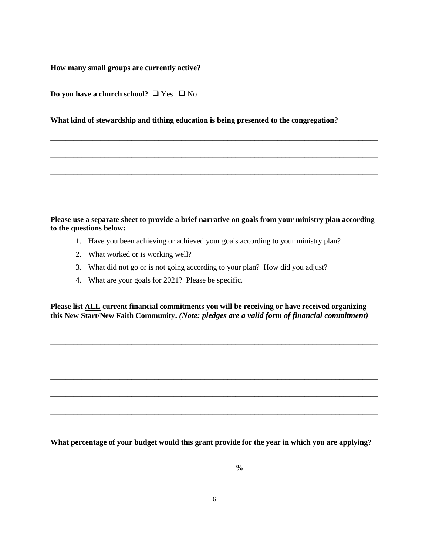**How many small groups are currently active?** \_\_\_\_\_\_\_\_\_\_\_

|  | Do you have a church school? $\Box$ Yes $\Box$ No |  |  |
|--|---------------------------------------------------|--|--|
|  |                                                   |  |  |

**What kind of stewardship and tithing education is being presented to the congregation?**

**Please use a separate sheet to provide a brief narrative on goals from your ministry plan according to the questions below:** 

\_\_\_\_\_\_\_\_\_\_\_\_\_\_\_\_\_\_\_\_\_\_\_\_\_\_\_\_\_\_\_\_\_\_\_\_\_\_\_\_\_\_\_\_\_\_\_\_\_\_\_\_\_\_\_\_\_\_\_\_\_\_\_\_\_\_\_\_\_\_\_\_\_\_\_\_\_\_\_\_\_\_\_\_\_

\_\_\_\_\_\_\_\_\_\_\_\_\_\_\_\_\_\_\_\_\_\_\_\_\_\_\_\_\_\_\_\_\_\_\_\_\_\_\_\_\_\_\_\_\_\_\_\_\_\_\_\_\_\_\_\_\_\_\_\_\_\_\_\_\_\_\_\_\_\_\_\_\_\_\_\_\_\_\_\_\_\_\_\_\_

\_\_\_\_\_\_\_\_\_\_\_\_\_\_\_\_\_\_\_\_\_\_\_\_\_\_\_\_\_\_\_\_\_\_\_\_\_\_\_\_\_\_\_\_\_\_\_\_\_\_\_\_\_\_\_\_\_\_\_\_\_\_\_\_\_\_\_\_\_\_\_\_\_\_\_\_\_\_\_\_\_\_\_\_\_

\_\_\_\_\_\_\_\_\_\_\_\_\_\_\_\_\_\_\_\_\_\_\_\_\_\_\_\_\_\_\_\_\_\_\_\_\_\_\_\_\_\_\_\_\_\_\_\_\_\_\_\_\_\_\_\_\_\_\_\_\_\_\_\_\_\_\_\_\_\_\_\_\_\_\_\_\_\_\_\_\_\_\_\_\_

- 1. Have you been achieving or achieved your goals according to your ministry plan?
- 2. What worked or is working well?
- 3. What did not go or is not going according to your plan? How did you adjust?
- 4. What are your goals for 2021? Please be specific.

**Please list ALL current financial commitments you will be receiving or have received organizing this New Start/New Faith Community.** *(Note: pledges are a valid form of financial commitment)* 

\_\_\_\_\_\_\_\_\_\_\_\_\_\_\_\_\_\_\_\_\_\_\_\_\_\_\_\_\_\_\_\_\_\_\_\_\_\_\_\_\_\_\_\_\_\_\_\_\_\_\_\_\_\_\_\_\_\_\_\_\_\_\_\_\_\_\_\_\_\_\_\_\_\_\_\_\_\_\_\_\_\_\_\_\_

\_\_\_\_\_\_\_\_\_\_\_\_\_\_\_\_\_\_\_\_\_\_\_\_\_\_\_\_\_\_\_\_\_\_\_\_\_\_\_\_\_\_\_\_\_\_\_\_\_\_\_\_\_\_\_\_\_\_\_\_\_\_\_\_\_\_\_\_\_\_\_\_\_\_\_\_\_\_\_\_\_\_\_\_\_

\_\_\_\_\_\_\_\_\_\_\_\_\_\_\_\_\_\_\_\_\_\_\_\_\_\_\_\_\_\_\_\_\_\_\_\_\_\_\_\_\_\_\_\_\_\_\_\_\_\_\_\_\_\_\_\_\_\_\_\_\_\_\_\_\_\_\_\_\_\_\_\_\_\_\_\_\_\_\_\_\_\_\_\_\_

\_\_\_\_\_\_\_\_\_\_\_\_\_\_\_\_\_\_\_\_\_\_\_\_\_\_\_\_\_\_\_\_\_\_\_\_\_\_\_\_\_\_\_\_\_\_\_\_\_\_\_\_\_\_\_\_\_\_\_\_\_\_\_\_\_\_\_\_\_\_\_\_\_\_\_\_\_\_\_\_\_\_\_\_\_

\_\_\_\_\_\_\_\_\_\_\_\_\_\_\_\_\_\_\_\_\_\_\_\_\_\_\_\_\_\_\_\_\_\_\_\_\_\_\_\_\_\_\_\_\_\_\_\_\_\_\_\_\_\_\_\_\_\_\_\_\_\_\_\_\_\_\_\_\_\_\_\_\_\_\_\_\_\_\_\_\_\_\_\_\_

**What percentage of your budget would this grant provide for the year in which you are applying?** 

 $\frac{0}{0}$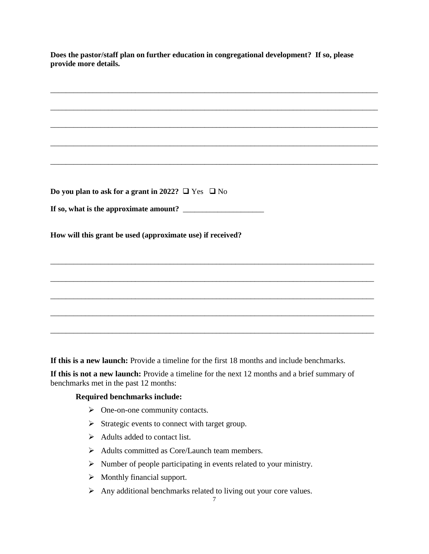**Does the pastor/staff plan on further education in congregational development? If so, please provide more details.**  \_\_\_\_\_\_\_\_\_\_\_\_\_\_\_\_\_\_\_\_\_\_\_\_\_\_\_\_\_\_\_\_\_\_\_\_\_\_\_\_\_\_\_\_\_\_\_\_\_\_\_\_\_\_\_\_\_\_\_\_\_\_\_\_\_\_\_\_\_\_\_\_\_\_\_\_\_\_\_\_\_\_\_\_\_ \_\_\_\_\_\_\_\_\_\_\_\_\_\_\_\_\_\_\_\_\_\_\_\_\_\_\_\_\_\_\_\_\_\_\_\_\_\_\_\_\_\_\_\_\_\_\_\_\_\_\_\_\_\_\_\_\_\_\_\_\_\_\_\_\_\_\_\_\_\_\_\_\_\_\_\_\_\_\_\_\_\_\_\_\_ \_\_\_\_\_\_\_\_\_\_\_\_\_\_\_\_\_\_\_\_\_\_\_\_\_\_\_\_\_\_\_\_\_\_\_\_\_\_\_\_\_\_\_\_\_\_\_\_\_\_\_\_\_\_\_\_\_\_\_\_\_\_\_\_\_\_\_\_\_\_\_\_\_\_\_\_\_\_\_\_\_\_\_\_\_ \_\_\_\_\_\_\_\_\_\_\_\_\_\_\_\_\_\_\_\_\_\_\_\_\_\_\_\_\_\_\_\_\_\_\_\_\_\_\_\_\_\_\_\_\_\_\_\_\_\_\_\_\_\_\_\_\_\_\_\_\_\_\_\_\_\_\_\_\_\_\_\_\_\_\_\_\_\_\_\_\_\_\_\_\_ \_\_\_\_\_\_\_\_\_\_\_\_\_\_\_\_\_\_\_\_\_\_\_\_\_\_\_\_\_\_\_\_\_\_\_\_\_\_\_\_\_\_\_\_\_\_\_\_\_\_\_\_\_\_\_\_\_\_\_\_\_\_\_\_\_\_\_\_\_\_\_\_\_\_\_\_\_\_\_\_\_\_\_\_\_ **Do you plan to ask for a grant in 2022?**  $\Box$  Yes  $\Box$  No **If so, what is the approximate amount?** \_\_\_\_\_\_\_\_\_\_\_\_\_\_\_\_\_\_\_\_\_ **How will this grant be used (approximate use) if received?** \_\_\_\_\_\_\_\_\_\_\_\_\_\_\_\_\_\_\_\_\_\_\_\_\_\_\_\_\_\_\_\_\_\_\_\_\_\_\_\_\_\_\_\_\_\_\_\_\_\_\_\_\_\_\_\_\_\_\_\_\_\_\_\_\_\_\_\_\_\_\_\_\_\_\_\_\_\_\_\_\_\_\_\_ \_\_\_\_\_\_\_\_\_\_\_\_\_\_\_\_\_\_\_\_\_\_\_\_\_\_\_\_\_\_\_\_\_\_\_\_\_\_\_\_\_\_\_\_\_\_\_\_\_\_\_\_\_\_\_\_\_\_\_\_\_\_\_\_\_\_\_\_\_\_\_\_\_\_\_\_\_\_\_\_\_\_\_\_ \_\_\_\_\_\_\_\_\_\_\_\_\_\_\_\_\_\_\_\_\_\_\_\_\_\_\_\_\_\_\_\_\_\_\_\_\_\_\_\_\_\_\_\_\_\_\_\_\_\_\_\_\_\_\_\_\_\_\_\_\_\_\_\_\_\_\_\_\_\_\_\_\_\_\_\_\_\_\_\_\_\_\_\_ \_\_\_\_\_\_\_\_\_\_\_\_\_\_\_\_\_\_\_\_\_\_\_\_\_\_\_\_\_\_\_\_\_\_\_\_\_\_\_\_\_\_\_\_\_\_\_\_\_\_\_\_\_\_\_\_\_\_\_\_\_\_\_\_\_\_\_\_\_\_\_\_\_\_\_\_\_\_\_\_\_\_\_\_ \_\_\_\_\_\_\_\_\_\_\_\_\_\_\_\_\_\_\_\_\_\_\_\_\_\_\_\_\_\_\_\_\_\_\_\_\_\_\_\_\_\_\_\_\_\_\_\_\_\_\_\_\_\_\_\_\_\_\_\_\_\_\_\_\_\_\_\_\_\_\_\_\_\_\_\_\_\_\_\_\_\_\_\_

**If this is a new launch:** Provide a timeline for the first 18 months and include benchmarks.

**If this is not a new launch:** Provide a timeline for the next 12 months and a brief summary of benchmarks met in the past 12 months:

#### **Required benchmarks include:**

- One-on-one community contacts.
- $\triangleright$  Strategic events to connect with target group.
- $\triangleright$  Adults added to contact list.
- Adults committed as Core/Launch team members.
- $\triangleright$  Number of people participating in events related to your ministry.
- $\triangleright$  Monthly financial support.
- $\triangleright$  Any additional benchmarks related to living out your core values.